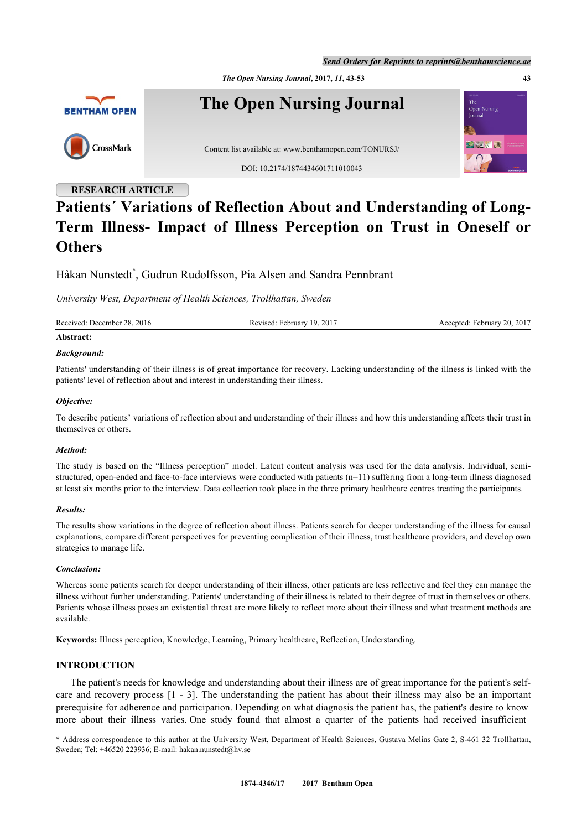*Send Orders for Reprints to reprints@benthamscience.ae*



# **RESEARCH ARTICLE**

# **Patients´ Variations of Reflection About and Understanding of Long-Term Illness- Impact of Illness Perception on Trust in Oneself or Others**

Håkan Nunstedt[\\*](#page-0-0) , Gudrun Rudolfsson, Pia Alsen and Sandra Pennbrant

*University West, Department of Health Sciences, Trollhattan, Sweden*

Received: December 28, 2016 Revised: February 19, 2017 Accepted: February 20, 2017

## **Abstract:**

# *Background:*

Patients' understanding of their illness is of great importance for recovery. Lacking understanding of the illness is linked with the patients' level of reflection about and interest in understanding their illness.

## *Objective:*

To describe patients' variations of reflection about and understanding of their illness and how this understanding affects their trust in themselves or others.

## *Method:*

The study is based on the "Illness perception" model. Latent content analysis was used for the data analysis. Individual, semistructured, open-ended and face-to-face interviews were conducted with patients (n=11) suffering from a long-term illness diagnosed at least six months prior to the interview. Data collection took place in the three primary healthcare centres treating the participants.

# *Results:*

The results show variations in the degree of reflection about illness. Patients search for deeper understanding of the illness for causal explanations, compare different perspectives for preventing complication of their illness, trust healthcare providers, and develop own strategies to manage life.

# *Conclusion:*

Whereas some patients search for deeper understanding of their illness, other patients are less reflective and feel they can manage the illness without further understanding. Patients' understanding of their illness is related to their degree of trust in themselves or others. Patients whose illness poses an existential threat are more likely to reflect more about their illness and what treatment methods are available.

**Keywords:** Illness perception, Knowledge, Learning, Primary healthcare, Reflection, Understanding.

# **INTRODUCTION**

The patient's needs for knowledge and understanding about their illness are of great importance for the patient's selfcare and recovery process [[1](#page-9-0) - [3\]](#page-9-1). The understanding the patient has about their illness may also be an important prerequisite for adherence and participation. Depending on what diagnosis the patient has, the patient's desire to know more about their illness varies. One study found that almost a quarter of the patients had received insufficient

<span id="page-0-0"></span>\* Address correspondence to this author at the University West, Department of Health Sciences, Gustava Melins Gate 2, S-461 32 Trollhattan, Sweden; Tel: +46520 223936; E-mail: [hakan.nunstedt@hv.se](mailto:hakan.nunstedt@hv.se)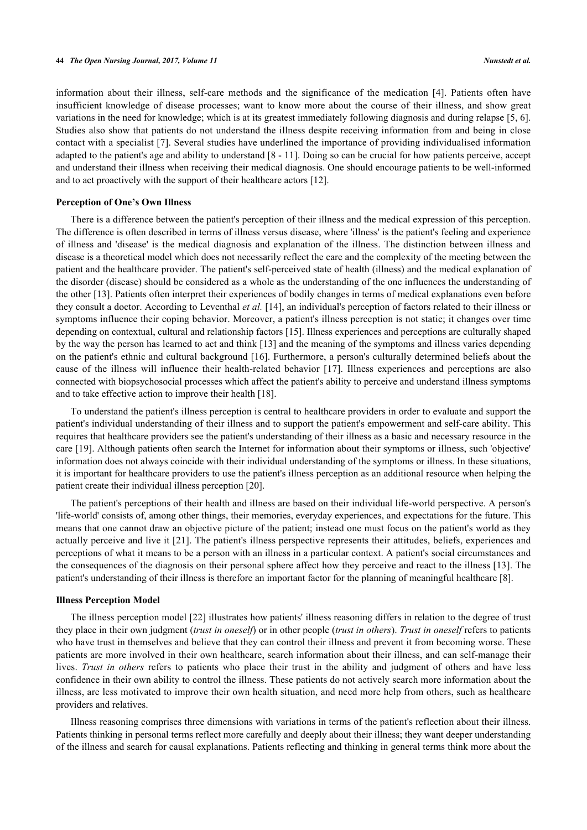information about their illness, self-care methods and the significance of the medication [\[4](#page-9-2)]. Patients often have insufficient knowledge of disease processes; want to know more about the course of their illness, and show great variations in the need for knowledge; which is at its greatest immediately following diagnosis and during relapse [[5,](#page-9-3) [6\]](#page-9-4). Studies also show that patients do not understand the illness despite receiving information from and being in close contact with a specialist [[7\]](#page-9-5). Several studies have underlined the importance of providing individualised information adapted to the patient's age and ability to understand [[8](#page-9-6) - [11\]](#page-9-7). Doing so can be crucial for how patients perceive, accept and understand their illness when receiving their medical diagnosis. One should encourage patients to be well-informed and to act proactively with the support of their healthcare actors [\[12](#page-9-8)].

#### **Perception of One's Own Illness**

There is a difference between the patient's perception of their illness and the medical expression of this perception. The difference is often described in terms of illness versus disease, where 'illness' is the patient's feeling and experience of illness and 'disease' is the medical diagnosis and explanation of the illness. The distinction between illness and disease is a theoretical model which does not necessarily reflect the care and the complexity of the meeting between the patient and the healthcare provider. The patient's self-perceived state of health (illness) and the medical explanation of the disorder (disease) should be considered as a whole as the understanding of the one influences the understanding of the other [\[13](#page-9-9)]. Patients often interpret their experiences of bodily changes in terms of medical explanations even before they consult a doctor. According to Leventhal *et al.* [\[14\]](#page-9-10), an individual's perception of factors related to their illness or symptoms influence their coping behavior. Moreover, a patient's illness perception is not static; it changes over time depending on contextual, cultural and relationship factors [[15\]](#page-9-11). Illness experiences and perceptions are culturally shaped by the way the person has learned to act and think [[13](#page-9-9)] and the meaning of the symptoms and illness varies depending on the patient's ethnic and cultural background [[16](#page-9-12)]. Furthermore, a person's culturally determined beliefs about the cause of the illness will influence their health-related behavior[[17](#page-9-13)]. Illness experiences and perceptions are also connected with biopsychosocial processes which affect the patient's ability to perceive and understand illness symptoms and to take effective action to improve their health [[18\]](#page-9-14).

To understand the patient's illness perception is central to healthcare providers in order to evaluate and support the patient's individual understanding of their illness and to support the patient's empowerment and self-care ability. This requires that healthcare providers see the patient's understanding of their illness as a basic and necessary resource in the care [[19\]](#page-9-15). Although patients often search the Internet for information about their symptoms or illness, such 'objective' information does not always coincide with their individual understanding of the symptoms or illness. In these situations, it is important for healthcare providers to use the patient's illness perception as an additional resource when helping the patient create their individual illness perception [[20\]](#page-10-0).

The patient's perceptions of their health and illness are based on their individual life-world perspective. A person's 'life-world' consists of, among other things, their memories, everyday experiences, and expectations for the future. This means that one cannot draw an objective picture of the patient; instead one must focus on the patient's world as they actually perceive and live it [\[21\]](#page-10-1). The patient's illness perspective represents their attitudes, beliefs, experiences and perceptions of what it means to be a person with an illness in a particular context. A patient's social circumstances and the consequences of the diagnosis on their personal sphere affect how they perceive and react to the illness [[13](#page-9-9)]. The patient's understanding of their illness is therefore an important factor for the planning of meaningful healthcare [\[8](#page-9-6)].

#### **Illness Perception Model**

The illness perception model [[22\]](#page-10-2) illustrates how patients' illness reasoning differs in relation to the degree of trust they place in their own judgment (*trust in oneself*) or in other people (*trust in others*). *Trust in oneself* refers to patients who have trust in themselves and believe that they can control their illness and prevent it from becoming worse. These patients are more involved in their own healthcare, search information about their illness, and can self-manage their lives. *Trust in others* refers to patients who place their trust in the ability and judgment of others and have less confidence in their own ability to control the illness. These patients do not actively search more information about the illness, are less motivated to improve their own health situation, and need more help from others, such as healthcare providers and relatives.

Illness reasoning comprises three dimensions with variations in terms of the patient's reflection about their illness. Patients thinking in personal terms reflect more carefully and deeply about their illness; they want deeper understanding of the illness and search for causal explanations. Patients reflecting and thinking in general terms think more about the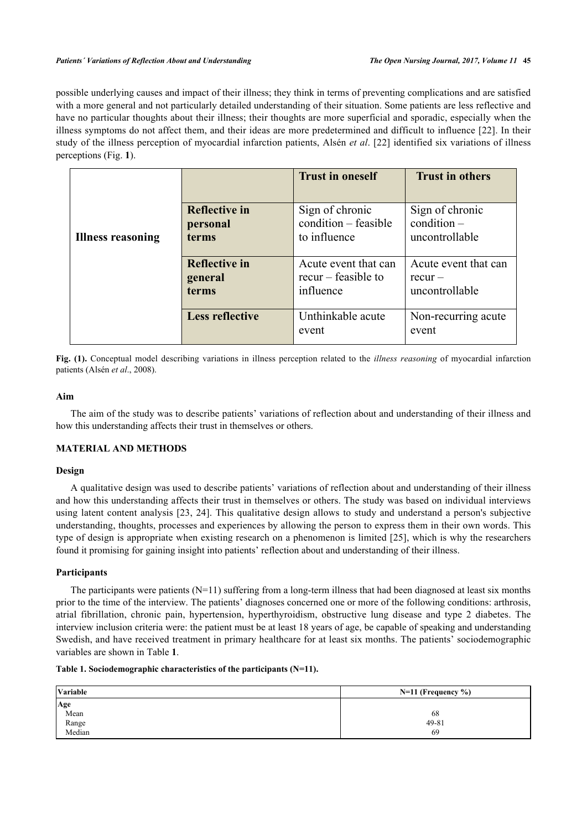possible underlying causes and impact of their illness; they think in terms of preventing complications and are satisfied with a more general and not particularly detailed understanding of their situation. Some patients are less reflective and have no particular thoughts about their illness; their thoughts are more superficial and sporadic, especially when the illness symptoms do not affect them, and their ideas are more predetermined and difficult to influence [[22](#page-10-2)]. In their study of the illness perception of myocardial infarction patients, Alsén *et al*. [\[22\]](#page-10-2) identified six variations of illness perceptions (Fig. **[1](#page-2-0)**).

<span id="page-2-0"></span>

|                          |                        | <b>Trust in oneself</b>    | <b>Trust in others</b>       |
|--------------------------|------------------------|----------------------------|------------------------------|
| <b>Illness reasoning</b> | <b>Reflective in</b>   | Sign of chronic            | Sign of chronic              |
|                          | personal               | condition – feasible       | $condition -$                |
|                          | terms                  | to influence               | uncontrollable               |
|                          | <b>Reflective in</b>   | Acute event that can       | Acute event that can         |
|                          | general                | $recur - feasible to$      | $recur -$                    |
|                          | terms                  | influence                  | uncontrollable               |
|                          | <b>Less reflective</b> | Unthinkable acute<br>event | Non-recurring acute<br>event |

**Fig. (1).** Conceptual model describing variations in illness perception related to the *illness reasoning* of myocardial infarction patients (Alsén *et al*., 2008).

## **Aim**

The aim of the study was to describe patients' variations of reflection about and understanding of their illness and how this understanding affects their trust in themselves or others.

# **MATERIAL AND METHODS**

#### **Design**

A qualitative design was used to describe patients' variations of reflection about and understanding of their illness and how this understanding affects their trust in themselves or others. The study was based on individual interviews using latent content analysis [[23,](#page-10-3) [24](#page-10-4)]. This qualitative design allows to study and understand a person's subjective understanding, thoughts, processes and experiences by allowing the person to express them in their own words. This type of design is appropriate when existing research on a phenomenon is limited [[25](#page-10-5)], which is why the researchers found it promising for gaining insight into patients' reflection about and understanding of their illness.

## **Participants**

The participants were patients (N=11) suffering from a long-term illness that had been diagnosed at least six months prior to the time of the interview. The patients' diagnoses concerned one or more of the following conditions: arthrosis, atrial fibrillation, chronic pain, hypertension, hyperthyroidism, obstructive lung disease and type 2 diabetes. The interview inclusion criteria were: the patient must be at least 18 years of age, be capable of speaking and understanding Swedish, and have received treatment in primary healthcare for at least six months. The patients' sociodemographic variables are shown in Table **[1](#page-2-1)**.

#### <span id="page-2-1"></span>**Table 1. Sociodemographic characteristics of the participants (N=11).**

| Variable        | $N=11$ (Frequency %) |  |
|-----------------|----------------------|--|
| Age             |                      |  |
| Mean            | 68                   |  |
| Range<br>Median | 49-81                |  |
|                 | 69                   |  |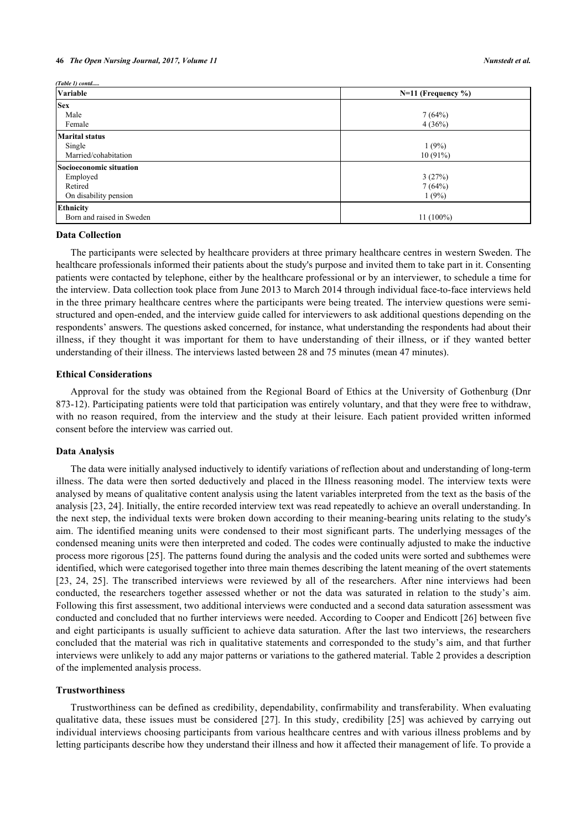| (Table 1) contd           |                      |  |  |
|---------------------------|----------------------|--|--|
| Variable                  | $N=11$ (Frequency %) |  |  |
| <b>Sex</b>                |                      |  |  |
| Male                      | 7(64%)               |  |  |
| Female                    | 4(36%)               |  |  |
| <b>Marital status</b>     |                      |  |  |
| Single                    | 1(9%)                |  |  |
| Married/cohabitation      | $10(91\%)$           |  |  |
| Socioeconomic situation   |                      |  |  |
| Employed                  | 3(27%)               |  |  |
| Retired                   | 7(64%)               |  |  |
| On disability pension     | 1(9%)                |  |  |
| <b>Ethnicity</b>          |                      |  |  |
| Born and raised in Sweden | $11(100\%)$          |  |  |

# **Data Collection**

The participants were selected by healthcare providers at three primary healthcare centres in western Sweden. The healthcare professionals informed their patients about the study's purpose and invited them to take part in it. Consenting patients were contacted by telephone, either by the healthcare professional or by an interviewer, to schedule a time for the interview. Data collection took place from June 2013 to March 2014 through individual face-to-face interviews held in the three primary healthcare centres where the participants were being treated. The interview questions were semistructured and open-ended, and the interview guide called for interviewers to ask additional questions depending on the respondents' answers. The questions asked concerned, for instance, what understanding the respondents had about their illness, if they thought it was important for them to have understanding of their illness, or if they wanted better understanding of their illness. The interviews lasted between 28 and 75 minutes (mean 47 minutes).

#### **Ethical Considerations**

Approval for the study was obtained from the Regional Board of Ethics at the University of Gothenburg (Dnr 873-12). Participating patients were told that participation was entirely voluntary, and that they were free to withdraw, with no reason required, from the interview and the study at their leisure. Each patient provided written informed consent before the interview was carried out.

## **Data Analysis**

The data were initially analysed inductively to identify variations of reflection about and understanding of long-term illness. The data were then sorted deductively and placed in the Illness reasoning model. The interview texts were analysed by means of qualitative content analysis using the latent variables interpreted from the text as the basis of the analysis [[23,](#page-10-3) [24\]](#page-10-4). Initially, the entire recorded interview text was read repeatedly to achieve an overall understanding. In the next step, the individual texts were broken down according to their meaning-bearing units relating to the study's aim. The identified meaning units were condensed to their most significant parts. The underlying messages of the condensed meaning units were then interpreted and coded. The codes were continually adjusted to make the inductive process more rigorous [[25\]](#page-10-5). The patterns found during the analysis and the coded units were sorted and subthemes were identified, which were categorised together into three main themes describing the latent meaning of the overt statements [\[23](#page-10-3), [24](#page-10-4), [25](#page-10-5)]. The transcribed interviews were reviewed by all of the researchers. After nine interviews had been conducted, the researchers together assessed whether or not the data was saturated in relation to the study's aim. Following this first assessment, two additional interviews were conducted and a second data saturation assessment was conducted and concluded that no further interviews were needed. According to Cooper and Endicott [\[26](#page-10-6)] between five and eight participants is usually sufficient to achieve data saturation. After the last two interviews, the researchers concluded that the material was rich in qualitative statements and corresponded to the study's aim, and that further interviews were unlikely to add any major patterns or variations to the gathered material. Table 2 provides a description of the implemented analysis process.

# **Trustworthiness**

Trustworthiness can be defined as credibility, dependability, confirmability and transferability. When evaluating qualitative data, these issues must be considered [\[27\]](#page-10-7). In this study, credibility [[25](#page-10-5)] was achieved by carrying out individual interviews choosing participants from various healthcare centres and with various illness problems and by letting participants describe how they understand their illness and how it affected their management of life. To provide a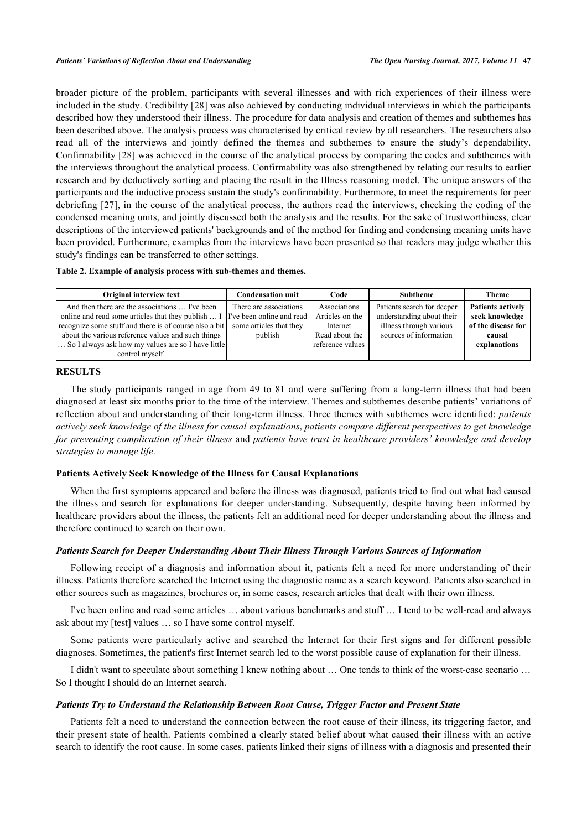broader picture of the problem, participants with several illnesses and with rich experiences of their illness were included in the study. Credibility [[28](#page-10-8)] was also achieved by conducting individual interviews in which the participants described how they understood their illness. The procedure for data analysis and creation of themes and subthemes has been described above. The analysis process was characterised by critical review by all researchers. The researchers also read all of the interviews and jointly defined the themes and subthemes to ensure the study's dependability. Confirmability [[28\]](#page-10-8) was achieved in the course of the analytical process by comparing the codes and subthemes with the interviews throughout the analytical process. Confirmability was also strengthened by relating our results to earlier research and by deductively sorting and placing the result in the Illness reasoning model. The unique answers of the participants and the inductive process sustain the study's confirmability. Furthermore, to meet the requirements for peer debriefing [[27\]](#page-10-7), in the course of the analytical process, the authors read the interviews, checking the coding of the condensed meaning units, and jointly discussed both the analysis and the results. For the sake of trustworthiness, clear descriptions of the interviewed patients' backgrounds and of the method for finding and condensing meaning units have been provided. Furthermore, examples from the interviews have been presented so that readers may judge whether this study's findings can be transferred to other settings.

## **Table 2. Example of analysis process with sub-themes and themes.**

| Original interview text                                | <b>Condensation unit</b>  | Code             | <b>Subtheme</b>            | Theme                    |
|--------------------------------------------------------|---------------------------|------------------|----------------------------|--------------------------|
| And then there are the associations  I've been         | There are associations    | Associations     | Patients search for deeper | <b>Patients actively</b> |
| online and read some articles that they publish  I     | I've been online and read | Articles on the  | understanding about their  | seek knowledge           |
| recognize some stuff and there is of course also a bit | some articles that they   | Internet         | illness through various    | of the disease for       |
| about the various reference values and such things     | publish                   | Read about the   | sources of information     | causal                   |
| So I always ask how my values are so I have little     |                           | reference values |                            | explanations             |
| control myself.                                        |                           |                  |                            |                          |

## **RESULTS**

The study participants ranged in age from 49 to 81 and were suffering from a long-term illness that had been diagnosed at least six months prior to the time of the interview. Themes and subthemes describe patients' variations of reflection about and understanding of their long-term illness. Three themes with subthemes were identified: *patients actively seek knowledge of the illness for causal explanations*, *patients compare different perspectives to get knowledge for preventing complication of their illness* and *patients have trust in healthcare providers' knowledge and develop strategies to manage life*.

#### **Patients Actively Seek Knowledge of the Illness for Causal Explanations**

When the first symptoms appeared and before the illness was diagnosed, patients tried to find out what had caused the illness and search for explanations for deeper understanding. Subsequently, despite having been informed by healthcare providers about the illness, the patients felt an additional need for deeper understanding about the illness and therefore continued to search on their own.

## *Patients Search for Deeper Understanding About Their Illness Through Various Sources of Information*

Following receipt of a diagnosis and information about it, patients felt a need for more understanding of their illness. Patients therefore searched the Internet using the diagnostic name as a search keyword. Patients also searched in other sources such as magazines, brochures or, in some cases, research articles that dealt with their own illness.

I've been online and read some articles … about various benchmarks and stuff … I tend to be well-read and always ask about my [test] values … so I have some control myself.

Some patients were particularly active and searched the Internet for their first signs and for different possible diagnoses. Sometimes, the patient's first Internet search led to the worst possible cause of explanation for their illness.

I didn't want to speculate about something I knew nothing about … One tends to think of the worst-case scenario … So I thought I should do an Internet search.

#### *Patients Try to Understand the Relationship Between Root Cause, Trigger Factor and Present State*

Patients felt a need to understand the connection between the root cause of their illness, its triggering factor, and their present state of health. Patients combined a clearly stated belief about what caused their illness with an active search to identify the root cause. In some cases, patients linked their signs of illness with a diagnosis and presented their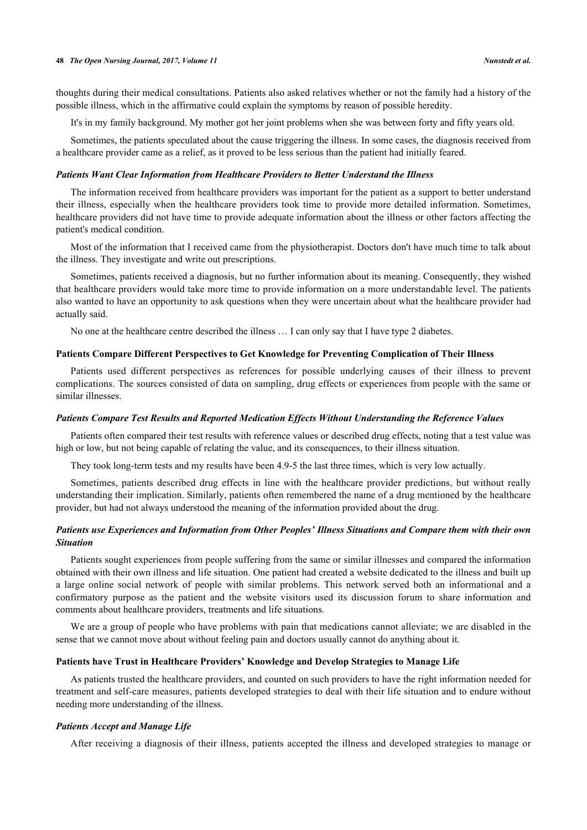thoughts during their medical consultations. Patients also asked relatives whether or not the family had a history of the possible illness, which in the affirmative could explain the symptoms by reason of possible heredity.

It's in my family background. My mother got her joint problems when she was between forty and fifty years old.

Sometimes, the patients speculated about the cause triggering the illness. In some cases, the diagnosis received from a healthcare provider came as a relief, as it proved to be less serious than the patient had initially feared.

## *Patients Want Clear Information from Healthcare Providers to Better Understand the Illness*

The information received from healthcare providers was important for the patient as a support to better understand their illness, especially when the healthcare providers took time to provide more detailed information. Sometimes, healthcare providers did not have time to provide adequate information about the illness or other factors affecting the patient's medical condition.

Most of the information that I received came from the physiotherapist. Doctors don't have much time to talk about the illness. They investigate and write out prescriptions.

Sometimes, patients received a diagnosis, but no further information about its meaning. Consequently, they wished that healthcare providers would take more time to provide information on a more understandable level. The patients also wanted to have an opportunity to ask questions when they were uncertain about what the healthcare provider had actually said.

No one at the healthcare centre described the illness … I can only say that I have type 2 diabetes.

#### **Patients Compare Different Perspectives to Get Knowledge for Preventing Complication of Their Illness**

Patients used different perspectives as references for possible underlying causes of their illness to prevent complications. The sources consisted of data on sampling, drug effects or experiences from people with the same or similar illnesses.

# *Patients Compare Test Results and Reported Medication Effects Without Understanding the Reference Values*

Patients often compared their test results with reference values or described drug effects, noting that a test value was high or low, but not being capable of relating the value, and its consequences, to their illness situation.

They took long-term tests and my results have been 4.9-5 the last three times, which is very low actually.

Sometimes, patients described drug effects in line with the healthcare provider predictions, but without really understanding their implication. Similarly, patients often remembered the name of a drug mentioned by the healthcare provider, but had not always understood the meaning of the information provided about the drug.

# *Patients use Experiences and Information from Other Peoples' Illness Situations and Compare them with their own Situation*

Patients sought experiences from people suffering from the same or similar illnesses and compared the information obtained with their own illness and life situation. One patient had created a website dedicated to the illness and built up a large online social network of people with similar problems. This network served both an informational and a confirmatory purpose as the patient and the website visitors used its discussion forum to share information and comments about healthcare providers, treatments and life situations.

We are a group of people who have problems with pain that medications cannot alleviate; we are disabled in the sense that we cannot move about without feeling pain and doctors usually cannot do anything about it.

# **Patients have Trust in Healthcare Providers' Knowledge and Develop Strategies to Manage Life**

As patients trusted the healthcare providers, and counted on such providers to have the right information needed for treatment and self-care measures, patients developed strategies to deal with their life situation and to endure without needing more understanding of the illness.

#### *Patients Accept and Manage Life*

After receiving a diagnosis of their illness, patients accepted the illness and developed strategies to manage or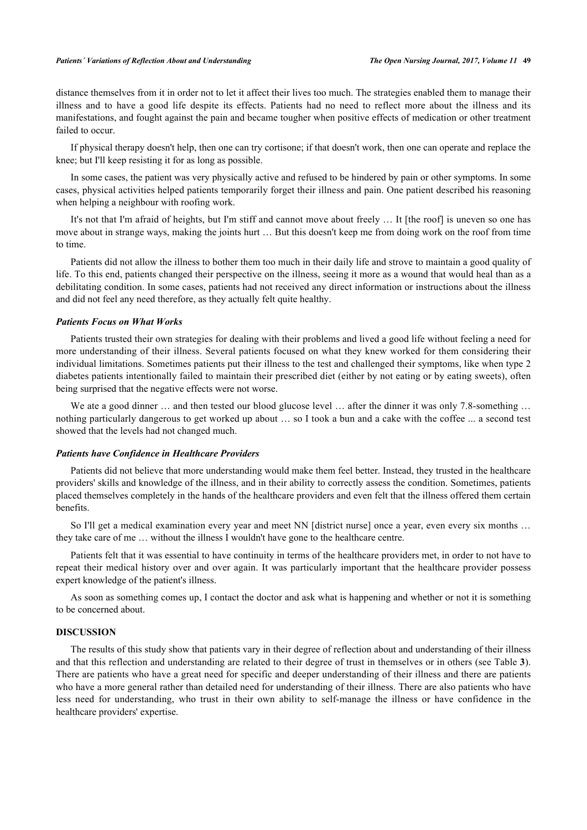distance themselves from it in order not to let it affect their lives too much. The strategies enabled them to manage their illness and to have a good life despite its effects. Patients had no need to reflect more about the illness and its manifestations, and fought against the pain and became tougher when positive effects of medication or other treatment failed to occur.

If physical therapy doesn't help, then one can try cortisone; if that doesn't work, then one can operate and replace the knee; but I'll keep resisting it for as long as possible.

In some cases, the patient was very physically active and refused to be hindered by pain or other symptoms. In some cases, physical activities helped patients temporarily forget their illness and pain. One patient described his reasoning when helping a neighbour with roofing work.

It's not that I'm afraid of heights, but I'm stiff and cannot move about freely … It [the roof] is uneven so one has move about in strange ways, making the joints hurt … But this doesn't keep me from doing work on the roof from time to time.

Patients did not allow the illness to bother them too much in their daily life and strove to maintain a good quality of life. To this end, patients changed their perspective on the illness, seeing it more as a wound that would heal than as a debilitating condition. In some cases, patients had not received any direct information or instructions about the illness and did not feel any need therefore, as they actually felt quite healthy.

## *Patients Focus on What Works*

Patients trusted their own strategies for dealing with their problems and lived a good life without feeling a need for more understanding of their illness. Several patients focused on what they knew worked for them considering their individual limitations. Sometimes patients put their illness to the test and challenged their symptoms, like when type 2 diabetes patients intentionally failed to maintain their prescribed diet (either by not eating or by eating sweets), often being surprised that the negative effects were not worse.

We ate a good dinner ... and then tested our blood glucose level ... after the dinner it was only 7.8-something ... nothing particularly dangerous to get worked up about … so I took a bun and a cake with the coffee ... a second test showed that the levels had not changed much.

#### *Patients have Confidence in Healthcare Providers*

Patients did not believe that more understanding would make them feel better. Instead, they trusted in the healthcare providers' skills and knowledge of the illness, and in their ability to correctly assess the condition. Sometimes, patients placed themselves completely in the hands of the healthcare providers and even felt that the illness offered them certain benefits.

So I'll get a medical examination every year and meet NN [district nurse] once a year, even every six months … they take care of me … without the illness I wouldn't have gone to the healthcare centre.

Patients felt that it was essential to have continuity in terms of the healthcare providers met, in order to not have to repeat their medical history over and over again. It was particularly important that the healthcare provider possess expert knowledge of the patient's illness.

As soon as something comes up, I contact the doctor and ask what is happening and whether or not it is something to be concerned about.

# **DISCUSSION**

The results of this study show that patients vary in their degree of reflection about and understanding of their illness and that this reflection and understanding are related to their degree of trust in themselves or in others (see Table **[3](#page-7-0)**). There are patients who have a great need for specific and deeper understanding of their illness and there are patients who have a more general rather than detailed need for understanding of their illness. There are also patients who have less need for understanding, who trust in their own ability to self-manage the illness or have confidence in the healthcare providers' expertise.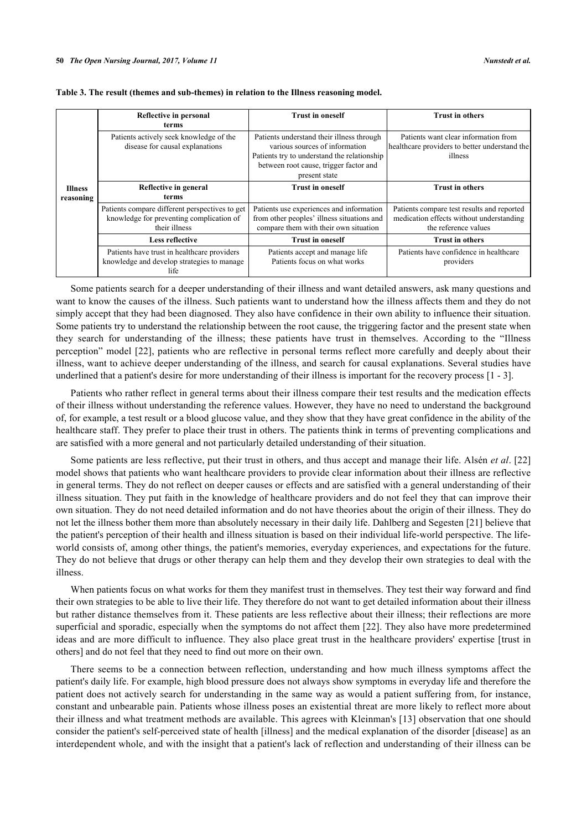| <b>Illness</b><br>reasoning | Reflective in personal<br>terms                                                                             | <b>Trust in oneself</b>                                                                                                                                                               | <b>Trust in others</b>                                                                                         |
|-----------------------------|-------------------------------------------------------------------------------------------------------------|---------------------------------------------------------------------------------------------------------------------------------------------------------------------------------------|----------------------------------------------------------------------------------------------------------------|
|                             | Patients actively seek knowledge of the<br>disease for causal explanations                                  | Patients understand their illness through<br>various sources of information<br>Patients try to understand the relationship<br>between root cause, trigger factor and<br>present state | Patients want clear information from<br>healthcare providers to better understand the<br>illness               |
|                             | Reflective in general<br>terms                                                                              | <b>Trust in oneself</b>                                                                                                                                                               | <b>Trust in others</b>                                                                                         |
|                             | Patients compare different perspectives to get<br>knowledge for preventing complication of<br>their illness | Patients use experiences and information<br>from other peoples' illness situations and<br>compare them with their own situation                                                       | Patients compare test results and reported<br>medication effects without understanding<br>the reference values |
|                             | <b>Less reflective</b>                                                                                      | <b>Trust in oneself</b>                                                                                                                                                               | <b>Trust in others</b>                                                                                         |
|                             | Patients have trust in healthcare providers<br>knowledge and develop strategies to manage<br>life           | Patients accept and manage life<br>Patients focus on what works                                                                                                                       | Patients have confidence in healthcare<br>providers                                                            |

## <span id="page-7-0"></span>**Table 3. The result (themes and sub-themes) in relation to the Illness reasoning model.**

Some patients search for a deeper understanding of their illness and want detailed answers, ask many questions and want to know the causes of the illness. Such patients want to understand how the illness affects them and they do not simply accept that they had been diagnosed. They also have confidence in their own ability to influence their situation. Some patients try to understand the relationship between the root cause, the triggering factor and the present state when they search for understanding of the illness; these patients have trust in themselves. According to the "Illness perception" model [\[22\]](#page-10-2), patients who are reflective in personal terms reflect more carefully and deeply about their illness, want to achieve deeper understanding of the illness, and search for causal explanations. Several studies have underlined that a patient's desire for more understanding of their illness is important for the recovery process [\[1](#page-9-0) - [3](#page-9-1)].

Patients who rather reflect in general terms about their illness compare their test results and the medication effects of their illness without understanding the reference values. However, they have no need to understand the background of, for example, a test result or a blood glucose value, and they show that they have great confidence in the ability of the healthcare staff. They prefer to place their trust in others. The patients think in terms of preventing complications and are satisfied with a more general and not particularly detailed understanding of their situation.

Some patients are less reflective, put their trust in others, and thus accept and manage their life. Alsén *et al*. [[22](#page-10-2)] model shows that patients who want healthcare providers to provide clear information about their illness are reflective in general terms. They do not reflect on deeper causes or effects and are satisfied with a general understanding of their illness situation. They put faith in the knowledge of healthcare providers and do not feel they that can improve their own situation. They do not need detailed information and do not have theories about the origin of their illness. They do not let the illness bother them more than absolutely necessary in their daily life. Dahlberg and Segesten [\[21](#page-10-1)] believe that the patient's perception of their health and illness situation is based on their individual life-world perspective. The lifeworld consists of, among other things, the patient's memories, everyday experiences, and expectations for the future. They do not believe that drugs or other therapy can help them and they develop their own strategies to deal with the illness.

When patients focus on what works for them they manifest trust in themselves. They test their way forward and find their own strategies to be able to live their life. They therefore do not want to get detailed information about their illness but rather distance themselves from it. These patients are less reflective about their illness; their reflections are more superficial and sporadic, especially when the symptoms do not affect them [\[22\]](#page-10-2). They also have more predetermined ideas and are more difficult to influence. They also place great trust in the healthcare providers' expertise [trust in others] and do not feel that they need to find out more on their own.

There seems to be a connection between reflection, understanding and how much illness symptoms affect the patient's daily life. For example, high blood pressure does not always show symptoms in everyday life and therefore the patient does not actively search for understanding in the same way as would a patient suffering from, for instance, constant and unbearable pain. Patients whose illness poses an existential threat are more likely to reflect more about their illness and what treatment methods are available. This agrees with Kleinman's [\[13\]](#page-9-9) observation that one should consider the patient's self-perceived state of health [illness] and the medical explanation of the disorder [disease] as an interdependent whole, and with the insight that a patient's lack of reflection and understanding of their illness can be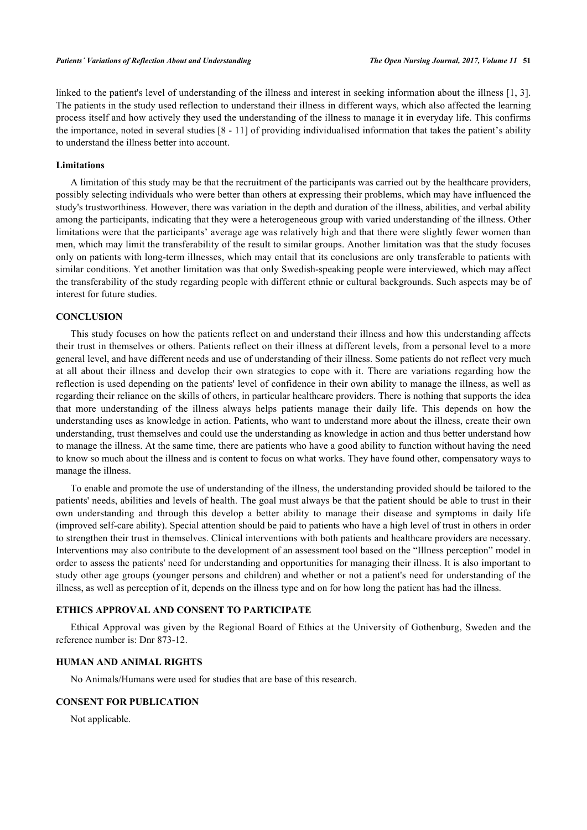linked to the patient's level of understanding of the illness and interest in seeking information about the illness [[1](#page-9-0), [3\]](#page-9-1). The patients in the study used reflection to understand their illness in different ways, which also affected the learning process itself and how actively they used the understanding of the illness to manage it in everyday life. This confirms the importance, noted in several studies [\[8](#page-9-6) - [11](#page-9-7)] of providing individualised information that takes the patient's ability to understand the illness better into account.

## **Limitations**

A limitation of this study may be that the recruitment of the participants was carried out by the healthcare providers, possibly selecting individuals who were better than others at expressing their problems, which may have influenced the study's trustworthiness. However, there was variation in the depth and duration of the illness, abilities, and verbal ability among the participants, indicating that they were a heterogeneous group with varied understanding of the illness. Other limitations were that the participants' average age was relatively high and that there were slightly fewer women than men, which may limit the transferability of the result to similar groups. Another limitation was that the study focuses only on patients with long-term illnesses, which may entail that its conclusions are only transferable to patients with similar conditions. Yet another limitation was that only Swedish-speaking people were interviewed, which may affect the transferability of the study regarding people with different ethnic or cultural backgrounds. Such aspects may be of interest for future studies.

# **CONCLUSION**

This study focuses on how the patients reflect on and understand their illness and how this understanding affects their trust in themselves or others. Patients reflect on their illness at different levels, from a personal level to a more general level, and have different needs and use of understanding of their illness. Some patients do not reflect very much at all about their illness and develop their own strategies to cope with it. There are variations regarding how the reflection is used depending on the patients' level of confidence in their own ability to manage the illness, as well as regarding their reliance on the skills of others, in particular healthcare providers. There is nothing that supports the idea that more understanding of the illness always helps patients manage their daily life. This depends on how the understanding uses as knowledge in action. Patients, who want to understand more about the illness, create their own understanding, trust themselves and could use the understanding as knowledge in action and thus better understand how to manage the illness. At the same time, there are patients who have a good ability to function without having the need to know so much about the illness and is content to focus on what works. They have found other, compensatory ways to manage the illness.

To enable and promote the use of understanding of the illness, the understanding provided should be tailored to the patients' needs, abilities and levels of health. The goal must always be that the patient should be able to trust in their own understanding and through this develop a better ability to manage their disease and symptoms in daily life (improved self-care ability). Special attention should be paid to patients who have a high level of trust in others in order to strengthen their trust in themselves. Clinical interventions with both patients and healthcare providers are necessary. Interventions may also contribute to the development of an assessment tool based on the "Illness perception" model in order to assess the patients' need for understanding and opportunities for managing their illness. It is also important to study other age groups (younger persons and children) and whether or not a patient's need for understanding of the illness, as well as perception of it, depends on the illness type and on for how long the patient has had the illness.

# **ETHICS APPROVAL AND CONSENT TO PARTICIPATE**

Ethical Approval was given by the Regional Board of Ethics at the University of Gothenburg, Sweden and the reference number is: Dnr 873-12.

# **HUMAN AND ANIMAL RIGHTS**

No Animals/Humans were used for studies that are base of this research.

## **CONSENT FOR PUBLICATION**

Not applicable.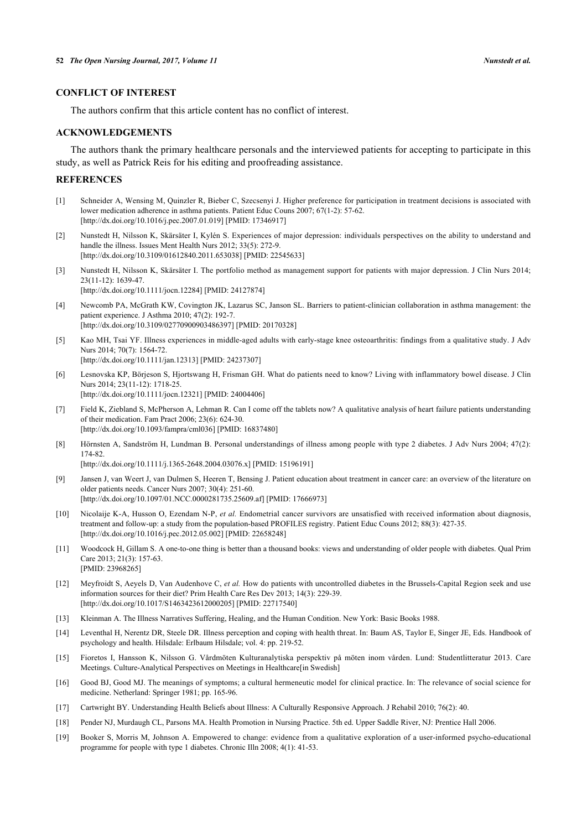# **CONFLICT OF INTEREST**

The authors confirm that this article content has no conflict of interest.

## **ACKNOWLEDGEMENTS**

The authors thank the primary healthcare personals and the interviewed patients for accepting to participate in this study, as well as Patrick Reis for his editing and proofreading assistance.

# **REFERENCES**

- <span id="page-9-0"></span>[1] Schneider A, Wensing M, Quinzler R, Bieber C, Szecsenyi J. Higher preference for participation in treatment decisions is associated with lower medication adherence in asthma patients. Patient Educ Couns 2007; 67(1-2): 57-62. [\[http://dx.doi.org/10.1016/j.pec.2007.01.019](http://dx.doi.org/10.1016/j.pec.2007.01.019)] [PMID: [17346917\]](http://www.ncbi.nlm.nih.gov/pubmed/17346917)
- [2] Nunstedt H, Nilsson K, Skärsäter I, Kylén S. Experiences of major depression: individuals perspectives on the ability to understand and handle the illness. Issues Ment Health Nurs 2012; 33(5): 272-9. [\[http://dx.doi.org/10.3109/01612840.2011.653038\]](http://dx.doi.org/10.3109/01612840.2011.653038) [PMID: [22545633](http://www.ncbi.nlm.nih.gov/pubmed/22545633)]
- <span id="page-9-1"></span>[3] Nunstedt H, Nilsson K, Skärsäter I. The portfolio method as management support for patients with major depression. J Clin Nurs 2014; 23(11-12): 1639-47. [\[http://dx.doi.org/10.1111/jocn.12284\]](http://dx.doi.org/10.1111/jocn.12284) [PMID: [24127874](http://www.ncbi.nlm.nih.gov/pubmed/24127874)]
- <span id="page-9-2"></span>[4] Newcomb PA, McGrath KW, Covington JK, Lazarus SC, Janson SL. Barriers to patient-clinician collaboration in asthma management: the patient experience. J Asthma 2010; 47(2): 192-7. [\[http://dx.doi.org/10.3109/02770900903486397\]](http://dx.doi.org/10.3109/02770900903486397) [PMID: [20170328](http://www.ncbi.nlm.nih.gov/pubmed/20170328)]
- <span id="page-9-3"></span>[5] Kao MH, Tsai YF. Illness experiences in middle-aged adults with early-stage knee osteoarthritis: findings from a qualitative study. J Adv Nurs 2014; 70(7): 1564-72. [\[http://dx.doi.org/10.1111/jan.12313\]](http://dx.doi.org/10.1111/jan.12313) [PMID: [24237307](http://www.ncbi.nlm.nih.gov/pubmed/24237307)]
- <span id="page-9-4"></span>[6] Lesnovska KP, Börjeson S, Hjortswang H, Frisman GH. What do patients need to know? Living with inflammatory bowel disease. J Clin Nurs 2014; 23(11-12): 1718-25. [\[http://dx.doi.org/10.1111/jocn.12321\]](http://dx.doi.org/10.1111/jocn.12321) [PMID: [24004406](http://www.ncbi.nlm.nih.gov/pubmed/24004406)]
- <span id="page-9-5"></span>[7] Field K, Ziebland S, McPherson A, Lehman R. Can I come off the tablets now? A qualitative analysis of heart failure patients understanding of their medication. Fam Pract 2006; 23(6): 624-30. [\[http://dx.doi.org/10.1093/fampra/cml036\]](http://dx.doi.org/10.1093/fampra/cml036) [PMID: [16837480](http://www.ncbi.nlm.nih.gov/pubmed/16837480)]
- <span id="page-9-6"></span>[8] Hörnsten A, Sandström H, Lundman B. Personal understandings of illness among people with type 2 diabetes. J Adv Nurs 2004; 47(2): 174-82.

[\[http://dx.doi.org/10.1111/j.1365-2648.2004.03076.x\]](http://dx.doi.org/10.1111/j.1365-2648.2004.03076.x) [PMID: [15196191](http://www.ncbi.nlm.nih.gov/pubmed/15196191)]

- [9] Jansen J, van Weert J, van Dulmen S, Heeren T, Bensing J. Patient education about treatment in cancer care: an overview of the literature on older patients needs. Cancer Nurs 2007; 30(4): 251-60. [\[http://dx.doi.org/10.1097/01.NCC.0000281735.25609.af](http://dx.doi.org/10.1097/01.NCC.0000281735.25609.af)] [PMID: [17666973](http://www.ncbi.nlm.nih.gov/pubmed/17666973)]
- [10] Nicolaije K-A, Husson O, Ezendam N-P, *et al.* Endometrial cancer survivors are unsatisfied with received information about diagnosis, treatment and follow-up: a study from the population-based PROFILES registry. Patient Educ Couns 2012; 88(3): 427-35. [\[http://dx.doi.org/10.1016/j.pec.2012.05.002](http://dx.doi.org/10.1016/j.pec.2012.05.002)] [PMID: [22658248\]](http://www.ncbi.nlm.nih.gov/pubmed/22658248)
- <span id="page-9-7"></span>[11] Woodcock H, Gillam S. A one-to-one thing is better than a thousand books: views and understanding of older people with diabetes. Qual Prim Care 2013; 21(3): 157-63. [PMID: [23968265\]](http://www.ncbi.nlm.nih.gov/pubmed/23968265)
- <span id="page-9-8"></span>[12] Meyfroidt S, Aeyels D, Van Audenhove C, *et al.* How do patients with uncontrolled diabetes in the Brussels-Capital Region seek and use information sources for their diet? Prim Health Care Res Dev 2013; 14(3): 229-39. [\[http://dx.doi.org/10.1017/S1463423612000205](http://dx.doi.org/10.1017/S1463423612000205)] [PMID: [22717540\]](http://www.ncbi.nlm.nih.gov/pubmed/22717540)
- <span id="page-9-9"></span>[13] Kleinman A. The Illness Narratives Suffering, Healing, and the Human Condition. New York: Basic Books 1988.
- <span id="page-9-10"></span>[14] Leventhal H, Nerentz DR, Steele DR. Illness perception and coping with health threat. In: Baum AS, Taylor E, Singer JE, Eds. Handbook of psychology and health. Hilsdale: Erlbaum Hilsdale; vol. 4: pp. 219-52.
- <span id="page-9-11"></span>[15] Fioretos I, Hansson K, Nilsson G. Vårdmöten Kulturanalytiska perspektiv på möten inom vården. Lund: Studentlitteratur 2013. Care Meetings. Culture-Analytical Perspectives on Meetings in Healthcare[in Swedish]
- <span id="page-9-12"></span>[16] Good BJ, Good MJ. The meanings of symptoms; a cultural hermeneutic model for clinical practice. In: The relevance of social science for medicine. Netherland: Springer 1981; pp. 165-96.
- <span id="page-9-13"></span>[17] Cartwright BY. Understanding Health Beliefs about Illness: A Culturally Responsive Approach. J Rehabil 2010; 76(2): 40.
- <span id="page-9-14"></span>[18] Pender NJ, Murdaugh CL, Parsons MA. Health Promotion in Nursing Practice. 5th ed. Upper Saddle River, NJ: Prentice Hall 2006.
- <span id="page-9-15"></span>[19] Booker S, Morris M, Johnson A. Empowered to change: evidence from a qualitative exploration of a user-informed psycho-educational programme for people with type 1 diabetes. Chronic Illn 2008; 4(1): 41-53.